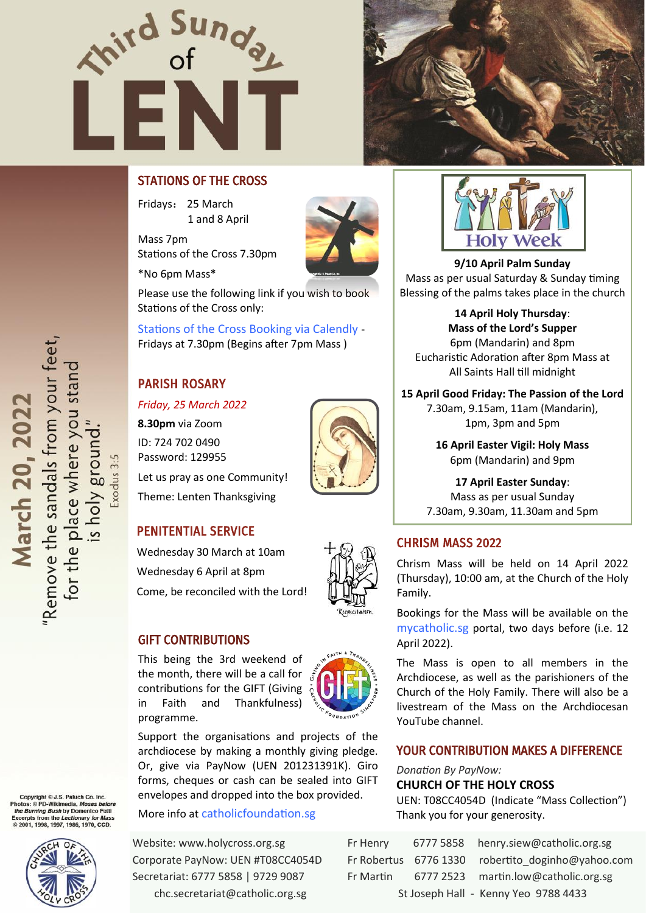



# STATIONS OF THE CROSS

Fridays: 25 March 1 and 8 April

Mass 7pm Stations of the Cross 7.30pm

\*No 6pm Mass\*



Please use the following link if you wish to book Stations of the Cross only:

[Stations of the Cross Booking via Calendly](https://calendly.com/chc-sg/) - Fridays at 7.30pm (Begins after 7pm Mass )

# PARISH ROSARY

*Friday, 25 March 2022* **8.30pm** via Zoom ID: 724 702 0490 Password: 129955 Let us pray as one Community! Theme: Lenten Thanksgiving



# PENITENTIAL SERVICE

Wednesday 30 March at 10am Wednesday 6 April at 8pm Come, be reconciled with the Lord!

#### GIFT CONTRIBUTIONS

This being the 3rd weekend of the month, there will be a call for contributions for the GIFT (Giving in Faith and Thankfulness) programme.

Support the organisations and projects of the archdiocese by making a monthly giving pledge. Or, give via PayNow (UEN 201231391K). Giro forms, cheques or cash can be sealed into GIFT envelopes and dropped into the box provided.

More info at [catholicfoundation.sg](http://catholicfoundation.sg)

Website: www.holycross.org.sg Corporate PayNow: UEN #T08CC4054D Secretariat: 6777 5858 | 9729 9087 chc.secretariat@catholic.org.sg



**9/10 April Palm Sunday**  Mass as per usual Saturday & Sunday timing Blessing of the palms takes place in the church

**14 April Holy Thursday**: **Mass of the Lord's Supper** 6pm (Mandarin) and 8pm Eucharistic Adoration after 8pm Mass at All Saints Hall till midnight

#### **15 April Good Friday: The Passion of the Lord**

7.30am, 9.15am, 11am (Mandarin), 1pm, 3pm and 5pm

**16 April Easter Vigil: Holy Mass**  6pm (Mandarin) and 9pm

**17 April Easter Sunday**: Mass as per usual Sunday 7.30am, 9.30am, 11.30am and 5pm

## CHRISM MASS 2022

Chrism Mass will be held on 14 April 2022 (Thursday), 10:00 am, at the Church of the Holy Family.

Bookings for the Mass will be available on the [mycatholic.sg](https://mycatholic.sg/) portal, two days before (i.e. 12 April 2022).

The Mass is open to all members in the Archdiocese, as well as the parishioners of the Church of the Holy Family. There will also be a livestream of the Mass on the Archdiocesan YouTube channel.

## YOUR CONTRIBUTION MAKES A DIFFERENCE

*Donation By PayNow:* 

**CHURCH OF THE HOLY CROSS** 

UEN: T08CC4054D (Indicate "Mass Collection") Thank you for your generosity.

| Fr Henry                             |  | 6777 5858 henry.siew@catholic.org.sg              |
|--------------------------------------|--|---------------------------------------------------|
|                                      |  | Fr Robertus 6776 1330 robertito doginho@yahoo.com |
| Fr Martin                            |  | 6777 2523 martin.low@catholic.org.sg              |
| St Joseph Hall - Kenny Yeo 9788 4433 |  |                                                   |

"Remove the sandals from your feet, for the place where you stand<br>is holy ground." March 20, 2022

xodus 3:5

Copyright © J.S. Paluch Co. In<br>otos: © PD-Wikimedia, Moses I the Burning Bush by Domenico Fetti xcerpts from the *Lectionary for Mas.*<br>> 2001, 1998, 1997, 1986, 1970, CCD.